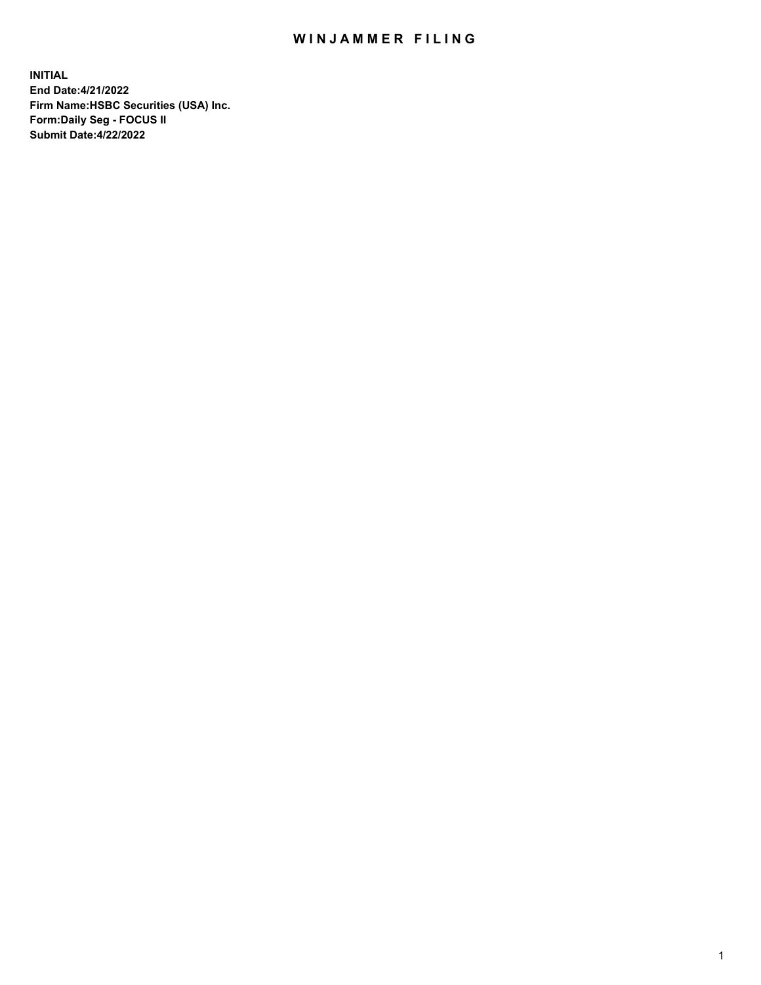## WIN JAMMER FILING

**INITIAL End Date:4/21/2022 Firm Name:HSBC Securities (USA) Inc. Form:Daily Seg - FOCUS II Submit Date:4/22/2022**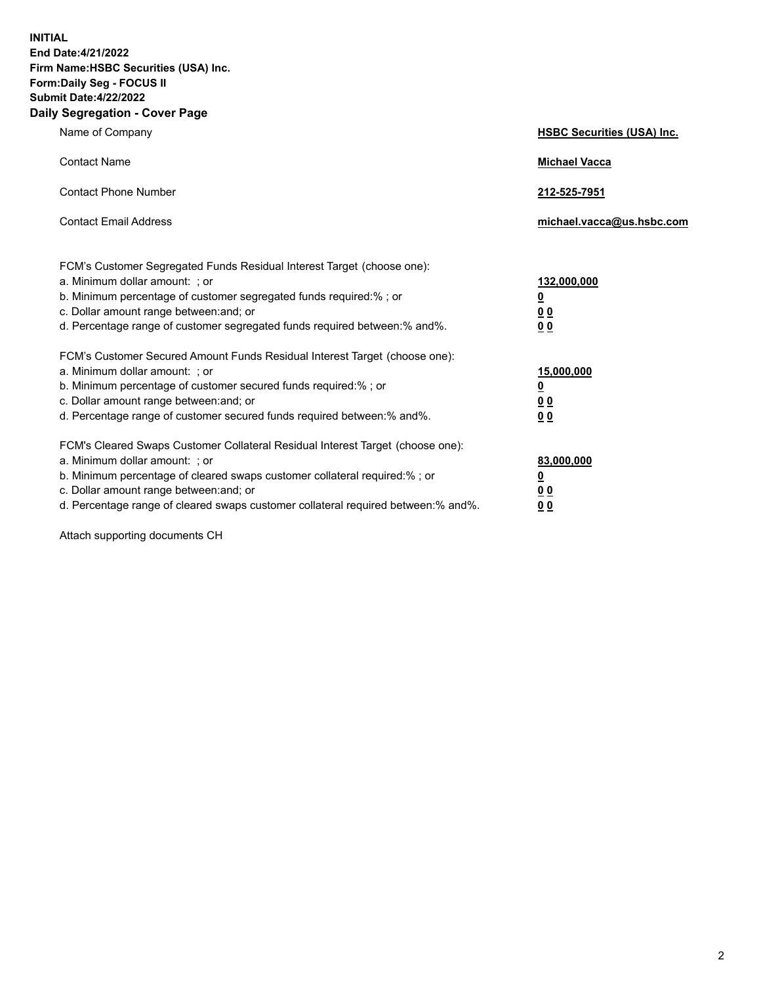**INITIAL End Date:4/21/2022 Firm Name:HSBC Securities (USA) Inc. Form:Daily Seg - FOCUS II Submit Date:4/22/2022 Daily Segregation - Cover Page**

| Name of Company                                                                                                                                                                                                                                                                                                                | <b>HSBC Securities (USA) Inc.</b>                          |
|--------------------------------------------------------------------------------------------------------------------------------------------------------------------------------------------------------------------------------------------------------------------------------------------------------------------------------|------------------------------------------------------------|
| <b>Contact Name</b>                                                                                                                                                                                                                                                                                                            | <b>Michael Vacca</b>                                       |
| <b>Contact Phone Number</b>                                                                                                                                                                                                                                                                                                    | 212-525-7951                                               |
| <b>Contact Email Address</b>                                                                                                                                                                                                                                                                                                   | michael.vacca@us.hsbc.com                                  |
| FCM's Customer Segregated Funds Residual Interest Target (choose one):<br>a. Minimum dollar amount: ; or<br>b. Minimum percentage of customer segregated funds required:% ; or<br>c. Dollar amount range between: and; or<br>d. Percentage range of customer segregated funds required between:% and%.                         | 132,000,000<br><u>0</u><br>0 <sub>0</sub><br>00            |
| FCM's Customer Secured Amount Funds Residual Interest Target (choose one):<br>a. Minimum dollar amount: ; or<br>b. Minimum percentage of customer secured funds required:%; or<br>c. Dollar amount range between: and; or<br>d. Percentage range of customer secured funds required between:% and%.                            | 15,000,000<br><u>0</u><br>0 <sub>0</sub><br>0 <sub>0</sub> |
| FCM's Cleared Swaps Customer Collateral Residual Interest Target (choose one):<br>a. Minimum dollar amount: ; or<br>b. Minimum percentage of cleared swaps customer collateral required:% ; or<br>c. Dollar amount range between: and; or<br>d. Percentage range of cleared swaps customer collateral required between:% and%. | 83,000,000<br><u>0</u><br><u>00</u><br>00                  |

Attach supporting documents CH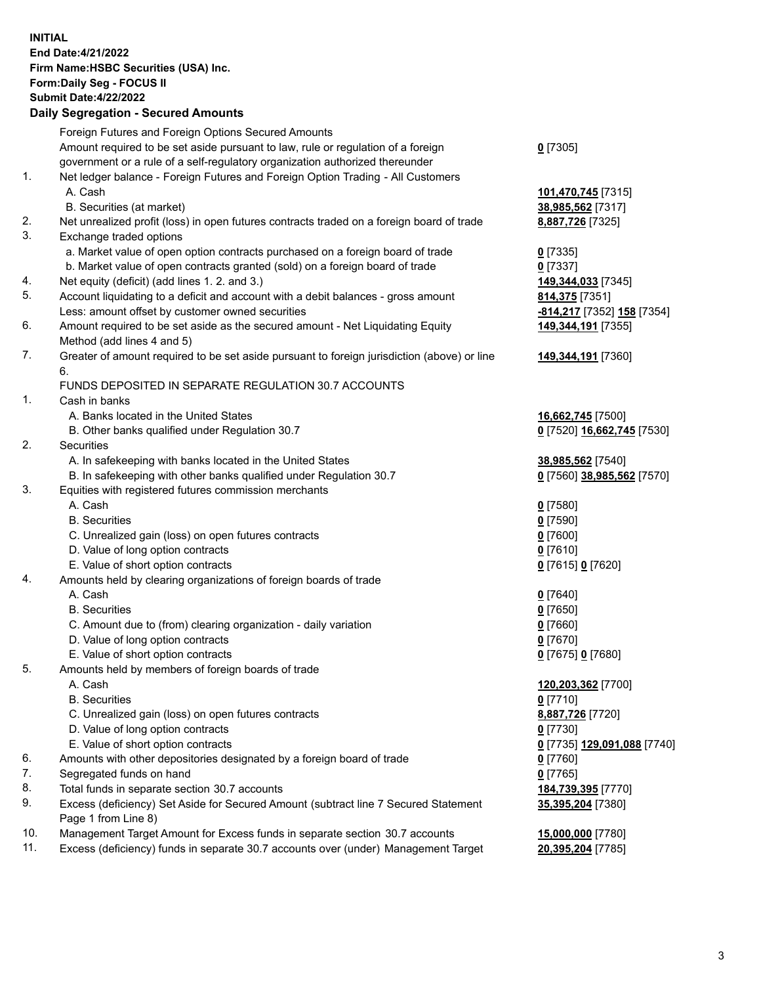**INITIAL End Date:4/21/2022 Firm Name:HSBC Securities (USA) Inc. Form:Daily Seg - FOCUS II Submit Date:4/22/2022 Daily Segregation - Secured Amounts** Foreign Futures and Foreign Options Secured Amounts Amount required to be set aside pursuant to law, rule or regulation of a foreign

government or a rule of a self-regulatory organization authorized thereunder

## 1. Net ledger balance - Foreign Futures and Foreign Option Trading - All Customers A. Cash **101,470,745** [7315]

- B. Securities (at market) **38,985,562** [7317]
- 2. Net unrealized profit (loss) in open futures contracts traded on a foreign board of trade **8,887,726** [7325]
- 3. Exchange traded options
	- a. Market value of open option contracts purchased on a foreign board of trade **0** [7335]
	- b. Market value of open contracts granted (sold) on a foreign board of trade **0** [7337]
- 4. Net equity (deficit) (add lines 1. 2. and 3.) **149,344,033** [7345]
- 5. Account liquidating to a deficit and account with a debit balances gross amount **814,375** [7351] Less: amount offset by customer owned securities **-814,217** [7352] **158** [7354]
- 6. Amount required to be set aside as the secured amount Net Liquidating Equity Method (add lines 4 and 5)
- 7. Greater of amount required to be set aside pursuant to foreign jurisdiction (above) or line 6.

## FUNDS DEPOSITED IN SEPARATE REGULATION 30.7 ACCOUNTS

- 1. Cash in banks
	- A. Banks located in the United States **16,662,745** [7500]
	- B. Other banks qualified under Regulation 30.7 **0** [7520] **16,662,745** [7530]
- 2. Securities
	- A. In safekeeping with banks located in the United States **38,985,562** [7540]
	- B. In safekeeping with other banks qualified under Regulation 30.7 **0** [7560] **38,985,562** [7570]
- 3. Equities with registered futures commission merchants
	- A. Cash **0** [7580]
	- B. Securities **0** [7590]
	- C. Unrealized gain (loss) on open futures contracts **0** [7600]
	- D. Value of long option contracts **0** [7610]
	- E. Value of short option contracts **0** [7615] **0** [7620]
- 4. Amounts held by clearing organizations of foreign boards of trade
	- A. Cash **0** [7640]
	- B. Securities **0** [7650]
	- C. Amount due to (from) clearing organization daily variation **0** [7660]
	- D. Value of long option contracts **0** [7670]
	- E. Value of short option contracts **0** [7675] **0** [7680]
- 5. Amounts held by members of foreign boards of trade
	-
	- B. Securities **0** [7710]
	- C. Unrealized gain (loss) on open futures contracts **8,887,726** [7720]
	- D. Value of long option contracts **0** [7730]
	- E. Value of short option contracts **0** [7735] **129,091,088** [7740]
- 6. Amounts with other depositories designated by a foreign board of trade **0** [7760]
- 7. Segregated funds on hand **0** [7765]
- 8. Total funds in separate section 30.7 accounts **184,739,395** [7770]
- 9. Excess (deficiency) Set Aside for Secured Amount (subtract line 7 Secured Statement Page 1 from Line 8)
- 10. Management Target Amount for Excess funds in separate section 30.7 accounts **15,000,000** [7780]
- 11. Excess (deficiency) funds in separate 30.7 accounts over (under) Management Target **20,395,204** [7785]

**149,344,191** [7355]

**149,344,191** [7360]

 A. Cash **120,203,362** [7700] **35,395,204** [7380]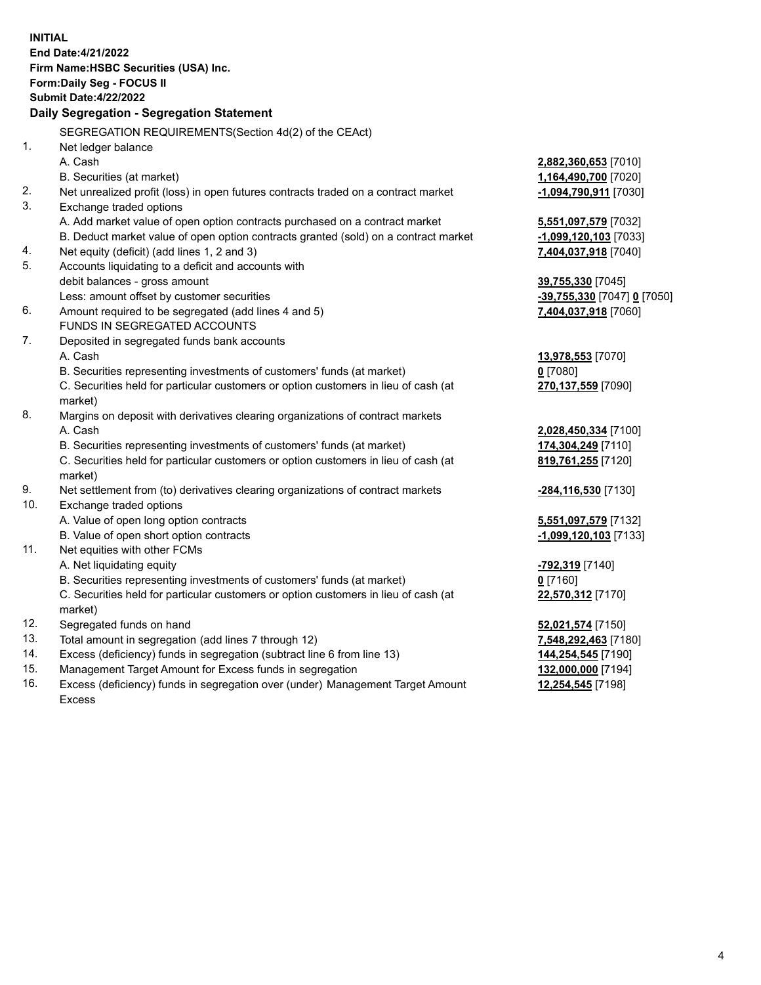**INITIAL End Date:4/21/2022 Firm Name:HSBC Securities (USA) Inc. Form:Daily Seg - FOCUS II Submit Date:4/22/2022 Daily Segregation - Segregation Statement** SEGREGATION REQUIREMENTS(Section 4d(2) of the CEAct) 1. Net ledger balance A. Cash **2,882,360,653** [7010] B. Securities (at market) **1,164,490,700** [7020] 2. Net unrealized profit (loss) in open futures contracts traded on a contract market **-1,094,790,911** [7030] 3. Exchange traded options A. Add market value of open option contracts purchased on a contract market **5,551,097,579** [7032] B. Deduct market value of open option contracts granted (sold) on a contract market **-1,099,120,103** [7033] 4. Net equity (deficit) (add lines 1, 2 and 3) **7,404,037,918** [7040] 5. Accounts liquidating to a deficit and accounts with debit balances - gross amount **39,755,330** [7045] Less: amount offset by customer securities **-39,755,330** [7047] **0** [7050] 6. Amount required to be segregated (add lines 4 and 5) **7,404,037,918** [7060] FUNDS IN SEGREGATED ACCOUNTS 7. Deposited in segregated funds bank accounts A. Cash **13,978,553** [7070] B. Securities representing investments of customers' funds (at market) **0** [7080] C. Securities held for particular customers or option customers in lieu of cash (at market) **270,137,559** [7090] 8. Margins on deposit with derivatives clearing organizations of contract markets A. Cash **2,028,450,334** [7100] B. Securities representing investments of customers' funds (at market) **174,304,249** [7110] C. Securities held for particular customers or option customers in lieu of cash (at market) **819,761,255** [7120] 9. Net settlement from (to) derivatives clearing organizations of contract markets **-284,116,530** [7130] 10. Exchange traded options A. Value of open long option contracts **5,551,097,579** [7132] B. Value of open short option contracts **-1,099,120,103** [7133] 11. Net equities with other FCMs A. Net liquidating equity **-792,319** [7140] B. Securities representing investments of customers' funds (at market) **0** [7160] C. Securities held for particular customers or option customers in lieu of cash (at market) **22,570,312** [7170] 12. Segregated funds on hand **52,021,574** [7150] 13. Total amount in segregation (add lines 7 through 12) **7,548,292,463** [7180] 14. Excess (deficiency) funds in segregation (subtract line 6 from line 13) **144,254,545** [7190] 15. Management Target Amount for Excess funds in segregation **132,000,000** [7194]

16. Excess (deficiency) funds in segregation over (under) Management Target Amount Excess

**12,254,545** [7198]